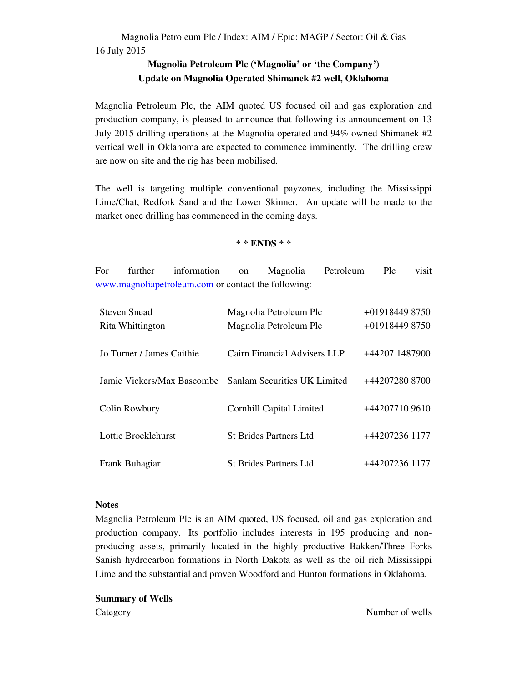## **Magnolia Petroleum Plc ('Magnolia' or 'the Company') Update on Magnolia Operated Shimanek #2 well, Oklahoma**

Magnolia Petroleum Plc, the AIM quoted US focused oil and gas exploration and production company, is pleased to announce that following its announcement on 13 July 2015 drilling operations at the Magnolia operated and 94% owned Shimanek #2 vertical well in Oklahoma are expected to commence imminently. The drilling crew are now on site and the rig has been mobilised.

The well is targeting multiple conventional payzones, including the Mississippi Lime/Chat, Redfork Sand and the Lower Skinner. An update will be made to the market once drilling has commenced in the coming days.

## **\* \* ENDS \* \***

For further information on Magnolia Petroleum Plc visit www.magnoliapetroleum.com or contact the following:

| <b>Steven Snead</b>                                     | Magnolia Petroleum Plc        | +01918449 8750 |
|---------------------------------------------------------|-------------------------------|----------------|
| Rita Whittington                                        | Magnolia Petroleum Plc        | +01918449 8750 |
|                                                         |                               |                |
| Jo Turner / James Caithie                               | Cairn Financial Advisers LLP  | +44207 1487900 |
|                                                         |                               |                |
| Jamie Vickers/Max Bascombe Sanlam Securities UK Limited |                               | +44207280 8700 |
|                                                         |                               |                |
| Colin Rowbury                                           | Cornhill Capital Limited      | +44207710 9610 |
|                                                         |                               |                |
| Lottie Brocklehurst                                     | <b>St Brides Partners Ltd</b> | +44207236 1177 |
|                                                         |                               |                |
| Frank Buhagiar                                          | <b>St Brides Partners Ltd</b> | +44207236 1177 |

## **Notes**

Magnolia Petroleum Plc is an AIM quoted, US focused, oil and gas exploration and production company. Its portfolio includes interests in 195 producing and nonproducing assets, primarily located in the highly productive Bakken/Three Forks Sanish hydrocarbon formations in North Dakota as well as the oil rich Mississippi Lime and the substantial and proven Woodford and Hunton formations in Oklahoma.

**Summary of Wells**  Category Number of wells